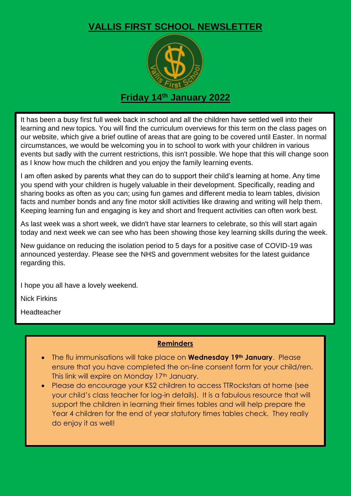## **VALLIS FIRST SCHOOL NEWSLETTER**



## **Friday 14th January 2022**

It has been a busy first full week back in school and all the children have settled well into their learning and new topics. You will find the curriculum overviews for this term on the class pages on our website, which give a brief outline of areas that are going to be covered until Easter. In normal circumstances, we would be welcoming you in to school to work with your children in various events but sadly with the current restrictions, this isn't possible. We hope that this will change soon as I know how much the children and you enjoy the family learning events.

I am often asked by parents what they can do to support their child's learning at home. Any time you spend with your children is hugely valuable in their development. Specifically, reading and sharing books as often as you can; using fun games and different media to learn tables, division facts and number bonds and any fine motor skill activities like drawing and writing will help them. Keeping learning fun and engaging is key and short and frequent activities can often work best.

As last week was a short week, we didn't have star learners to celebrate, so this will start again today and next week we can see who has been showing those key learning skills during the week.

New guidance on reducing the isolation period to 5 days for a positive case of COVID-19 was announced yesterday. Please see the NHS and government websites for the latest guidance regarding this.

I hope you all have a lovely weekend.

Nick Firkins

Headteacher

## **Reminders**

- The flu immunisations will take place on **Wednesday 19th January**. Please ensure that you have completed the on-line consent form for your child/ren. This link will expire on Monday 17th January.
- Please do encourage your KS2 children to access TTRockstars at home (see your child's class teacher for log-in details). It is a fabulous resource that will support the children in learning their times tables and will help prepare the Year 4 children for the end of year statutory times tables check. They really do enjoy it as well!